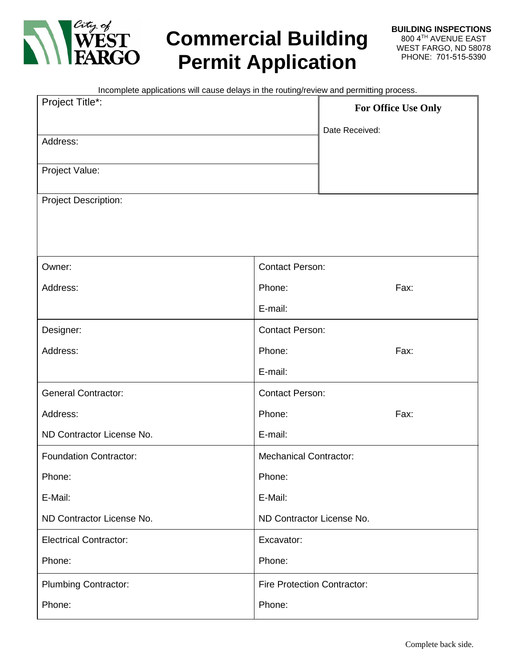

# **Commercial Building Permit Application**

| Incomplete applications will cause delays in the routing/review and permitting process. |                                    |  |  |  |  |  |  |  |
|-----------------------------------------------------------------------------------------|------------------------------------|--|--|--|--|--|--|--|
| Project Title*:                                                                         | For Office Use Only                |  |  |  |  |  |  |  |
|                                                                                         | Date Received:                     |  |  |  |  |  |  |  |
| Address:                                                                                |                                    |  |  |  |  |  |  |  |
| Project Value:                                                                          |                                    |  |  |  |  |  |  |  |
|                                                                                         |                                    |  |  |  |  |  |  |  |
| <b>Project Description:</b>                                                             |                                    |  |  |  |  |  |  |  |
|                                                                                         |                                    |  |  |  |  |  |  |  |
|                                                                                         |                                    |  |  |  |  |  |  |  |
| Owner:                                                                                  | <b>Contact Person:</b>             |  |  |  |  |  |  |  |
| Address:                                                                                | Phone:<br>Fax:                     |  |  |  |  |  |  |  |
|                                                                                         | E-mail:                            |  |  |  |  |  |  |  |
| Designer:                                                                               | <b>Contact Person:</b>             |  |  |  |  |  |  |  |
| Address:                                                                                | Fax:<br>Phone:                     |  |  |  |  |  |  |  |
|                                                                                         | E-mail:                            |  |  |  |  |  |  |  |
| <b>General Contractor:</b>                                                              | <b>Contact Person:</b>             |  |  |  |  |  |  |  |
| Address:                                                                                | Fax:<br>Phone:                     |  |  |  |  |  |  |  |
| ND Contractor License No.                                                               | E-mail:                            |  |  |  |  |  |  |  |
| <b>Foundation Contractor:</b>                                                           | <b>Mechanical Contractor:</b>      |  |  |  |  |  |  |  |
| Phone:                                                                                  | Phone:                             |  |  |  |  |  |  |  |
| E-Mail:                                                                                 | E-Mail:                            |  |  |  |  |  |  |  |
| ND Contractor License No.                                                               | ND Contractor License No.          |  |  |  |  |  |  |  |
| <b>Electrical Contractor:</b>                                                           | Excavator:                         |  |  |  |  |  |  |  |
| Phone:                                                                                  | Phone:                             |  |  |  |  |  |  |  |
| <b>Plumbing Contractor:</b>                                                             | <b>Fire Protection Contractor:</b> |  |  |  |  |  |  |  |
| Phone:                                                                                  | Phone:                             |  |  |  |  |  |  |  |